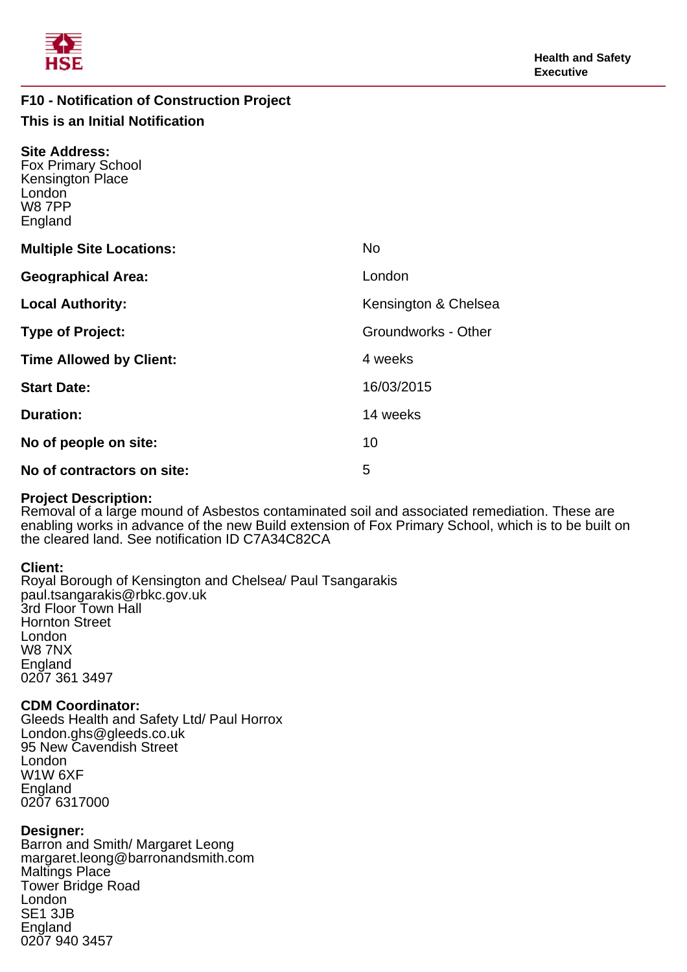

# **F10 - Notification of Construction Project This is an Initial Notification**

| <b>Site Address:</b><br><b>Fox Primary School</b><br><b>Kensington Place</b><br>London<br><b>W87PP</b><br>England |                      |
|-------------------------------------------------------------------------------------------------------------------|----------------------|
| <b>Multiple Site Locations:</b>                                                                                   | <b>No</b>            |
| <b>Geographical Area:</b>                                                                                         | London               |
| <b>Local Authority:</b>                                                                                           | Kensington & Chelsea |
| <b>Type of Project:</b>                                                                                           | Groundworks - Other  |
| <b>Time Allowed by Client:</b>                                                                                    | 4 weeks              |
| <b>Start Date:</b>                                                                                                | 16/03/2015           |
| <b>Duration:</b>                                                                                                  | 14 weeks             |
| No of people on site:                                                                                             | 10                   |
| No of contractors on site:                                                                                        | 5                    |

## **Project Description:**

Removal of a large mound of Asbestos contaminated soil and associated remediation. These are enabling works in advance of the new Build extension of Fox Primary School, which is to be built on the cleared land. See notification ID C7A34C82CA

# **Client:**

Royal Borough of Kensington and Chelsea/ Paul Tsangarakis paul.tsangarakis@rbkc.gov.uk 3rd Floor Town Hall Hornton Street London W8 7NX England 0207 361 3497

## **CDM Coordinator:**

Gleeds Health and Safety Ltd/ Paul Horrox London.ghs@gleeds.co.uk 95 New Cavendish Street London W1W 6XF England 0207 6317000

# **Designer:**

Barron and Smith/ Margaret Leong margaret.leong@barronandsmith.com Maltings Place Tower Bridge Road London SE1 3JB England 0207 940 3457